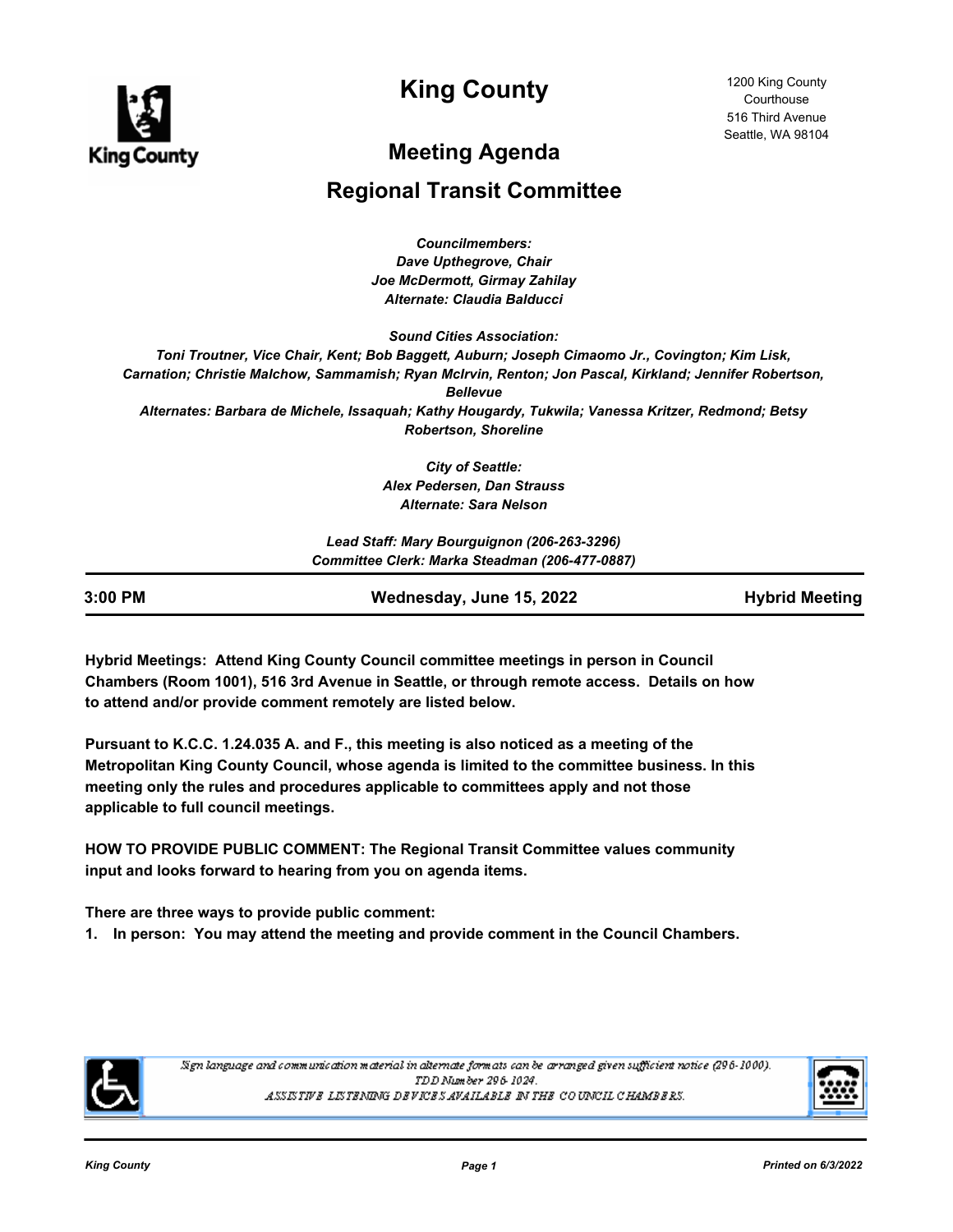

**King County**

# **Meeting Agenda**

## **Regional Transit Committee**

*Councilmembers: Dave Upthegrove, Chair Joe McDermott, Girmay Zahilay Alternate: Claudia Balducci*

*Sound Cities Association:*

*Toni Troutner, Vice Chair, Kent; Bob Baggett, Auburn; Joseph Cimaomo Jr., Covington; Kim Lisk, Carnation; Christie Malchow, Sammamish; Ryan McIrvin, Renton; Jon Pascal, Kirkland; Jennifer Robertson, Bellevue Alternates: Barbara de Michele, Issaquah; Kathy Hougardy, Tukwila; Vanessa Kritzer, Redmond; Betsy Robertson, Shoreline*

> *City of Seattle: Alex Pedersen, Dan Strauss Alternate: Sara Nelson*

*Lead Staff: Mary Bourguignon (206-263-3296) Committee Clerk: Marka Steadman (206-477-0887)*

**3:00 PM Wednesday, June 15, 2022 Hybrid Meeting**

**Hybrid Meetings: Attend King County Council committee meetings in person in Council Chambers (Room 1001), 516 3rd Avenue in Seattle, or through remote access. Details on how to attend and/or provide comment remotely are listed below.**

**Pursuant to K.C.C. 1.24.035 A. and F., this meeting is also noticed as a meeting of the Metropolitan King County Council, whose agenda is limited to the committee business. In this meeting only the rules and procedures applicable to committees apply and not those applicable to full council meetings.**

**HOW TO PROVIDE PUBLIC COMMENT: The Regional Transit Committee values community input and looks forward to hearing from you on agenda items.**

**There are three ways to provide public comment:**

**1. In person: You may attend the meeting and provide comment in the Council Chambers.**



Sign language and communication material in alternate formats can be arranged given sufficient notice (296-1000). TDD Number 296-1024. ASSISTIVE LISTENING DEVICES AVAILABLE IN THE COUNCIL CHAMBERS.

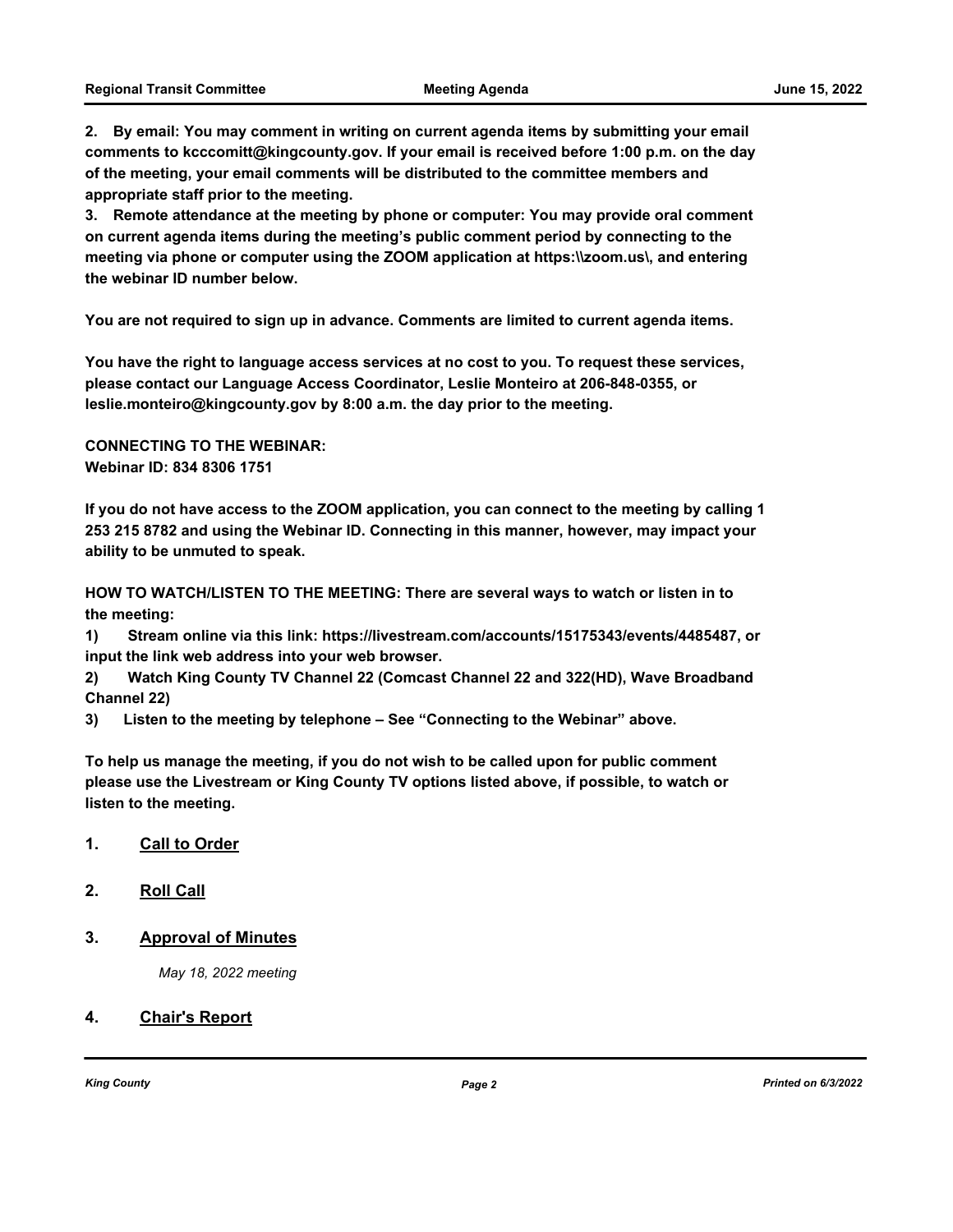**2. By email: You may comment in writing on current agenda items by submitting your email comments to kcccomitt@kingcounty.gov. If your email is received before 1:00 p.m. on the day of the meeting, your email comments will be distributed to the committee members and appropriate staff prior to the meeting.** 

**3. Remote attendance at the meeting by phone or computer: You may provide oral comment on current agenda items during the meeting's public comment period by connecting to the meeting via phone or computer using the ZOOM application at https:\\zoom.us\, and entering the webinar ID number below.** 

**You are not required to sign up in advance. Comments are limited to current agenda items.**

**You have the right to language access services at no cost to you. To request these services, please contact our Language Access Coordinator, Leslie Monteiro at 206-848-0355, or leslie.monteiro@kingcounty.gov by 8:00 a.m. the day prior to the meeting.**

**CONNECTING TO THE WEBINAR: Webinar ID: 834 8306 1751**

**If you do not have access to the ZOOM application, you can connect to the meeting by calling 1 253 215 8782 and using the Webinar ID. Connecting in this manner, however, may impact your ability to be unmuted to speak.** 

**HOW TO WATCH/LISTEN TO THE MEETING: There are several ways to watch or listen in to the meeting:**

**1) Stream online via this link: https://livestream.com/accounts/15175343/events/4485487, or input the link web address into your web browser.**

**2) Watch King County TV Channel 22 (Comcast Channel 22 and 322(HD), Wave Broadband Channel 22)**

**3) Listen to the meeting by telephone – See "Connecting to the Webinar" above.**

**To help us manage the meeting, if you do not wish to be called upon for public comment please use the Livestream or King County TV options listed above, if possible, to watch or listen to the meeting.**

- **1. Call to Order**
- **2. Roll Call**
- **3. Approval of Minutes**

*May 18, 2022 meeting*

#### **4. Chair's Report**